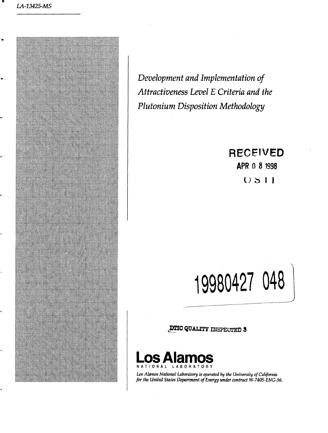

*Development and Implementation of Attractiveness Level E Criteria and the Plutonium Disposition Methodology*

# **RECEWED**

**APR 0 8 1998**

 $O511$ 

**19980427 048**

**JHIC QUALITY** INSPECTED



*Los Alamos National Laboratory is operated by the University of California for the United States Department of Energy under contract W-7405-ENG-36.*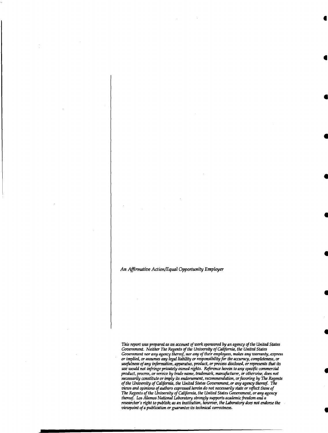### *An Affirmative Action/Equal Opportunity Employer*

*This report was prepared as an account of work sponsored by an agency of the United States Government. Neither The Regents of the University of California, the United States Government nor any agency thereof, nor any of their employees, makes any warranty, express or implied, or assumes any legal liability or responsibility for the accuracy, completeness, or usefulness of any information, apparatus, product, or process disclosed, or represents that its use •would not infringe privately owned rights. Reference herein to any specific commercial product, process, or service by trade name, trademark, manufacturer, or otherwise, does not necessarily constitute or imply its endorsement, recommendation, or favoring by The Regents of the University of California, the United States Government, or any agency thereof. The views and opinions of authors expressed herein do not necessarily state or reflect those of The Regents of the University of California, the United States Government, or any agency thereof. Los Alamos National Laboratory strongly supports academic freedom and a researcher's right to publish; as an institution, however, the Laboratory does not endorse the viewpoint of a publication or guarantee its technical correctness.*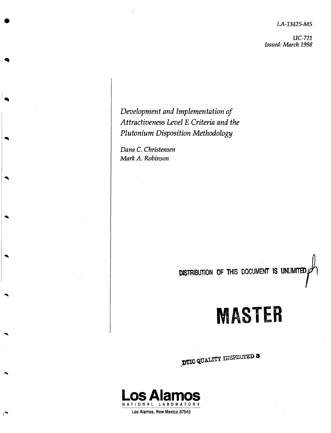*LA-13425-MS*

*UC-721 Issued: March 1998*

*Development and Implementation of Attractiveness Level E Criteria and the Plutonium Disposition Methodology*

*Dana C. Christensen Mark A. Robinson*

# **DISTRIBUTION OF THIS DOCUMENT IS UNLIMITED**

# **MASTER**

**DTIC QUALITY INSPECTED 3** 



**Los Alamos, New Mexico 87545**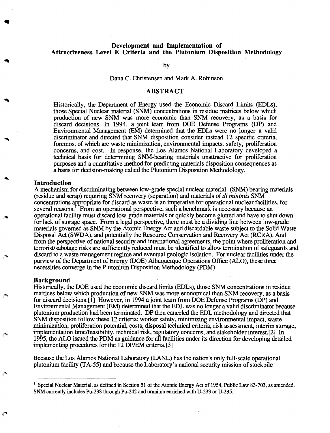# **Development and Implementation of Attractiveness Level E Criteria and the Plutonium Disposition Methodology**

by

## Dana C. Christensen and Mark A. Robinson

# **ABSTRACT**

Historically, the Department of Energy used the Economic Discard Limits (EDLs), those Special Nuclear material (SNM) concentrations in residue matrices below which production of new SNM was more economic than SNM recovery, as a basis for discard decisions. In 1994, a joint team from DOE Defense Programs (DP) and Environmental Management (EM) determined that the EDLs were no longer a valid discriminator and directed that SNM disposition consider instead 12 specific criteria, foremost of which are waste minimization, environmental impacts, safety, proliferation concerns, and cost. In response, the Los Alamos National Laboratory developed a technical basis for determining SNM-bearing materials unattractive for proliferation purposes and a quantitative method for predicting materials disposition consequences as a basis for decision-making called the Plutonium Disposition Methodology.

#### **Introduction**

A mechanism for discriminating between low-grade special nuclear material- (SNM) bearing materials (residue and scrap) requiring SNM recovery (separation) and materials of *di minimis* SNM concentrations appropriate for discard as waste is an imperative for operational nuclear facilities, for several reasons.<sup>T</sup> From an operational perspective, such a benchmark is necessary because an operational facility must discard low-grade materials or quickly become glutted and have to shut down for lack of storage space. From a legal perspective, there must be a dividing line between low-grade materials governed as SNM by the Atomic Energy Act and discardable waste subject to the Solid Waste Disposal Act (SWDA), and potentially the Resource Conservation and Recovery Act (RCRA). And from the perspective of national security and international agreements, the point where proliferation and terrorist/sabotage risks are sufficiently reduced must be identified to allow termination of safeguards and discard to a waste management regime and eventual geologic isolation. For nuclear facilities under the purview of the Department of Energy (DOE) Albuquerque Operations Office (ALO), these three necessities converge in the Plutonium Disposition Methodology (PDM).

#### **Background**

€

Historically, the DOE used the economic discard limits (EDLs), those SNM concentrations in residue matrices below which production of new SNM was more economical than SNM recovery, as a basis for discard decisions. [1] However, in 1994 a joint team from DOE Defense Programs (DP) and Environmental Management (EM) determined that the EDL was no longer a valid discriminator because plutonium production had been terminated. DP then canceled the EDL methodology and directed that SNM disposition follow these 12 criteria: worker safety, minimizing environmental impact, waste minimization, proliferation potential, costs, disposal technical criteria, risk assessment, interim storage, implementation time/feasibility, technical risk, regulatory concerns, and stakeholder interest. [2] In 1995, the ALO issued the PDM as guidance for all facilities under its direction for developing detailed implementing procedures for the 12 DP/EM criteria. [3]

Because the Los Alamos National Laboratory (LANL) has the nation's only full-scale operational plutonium facility (TA-55) and because the Laboratory's national security mission of stockpile

<sup>&</sup>lt;sup>1</sup> Special Nuclear Material, as defined in Section 51 of the Atomic Energy Act of 1954, Public Law 83-703, as amended. SNM currently includes Pu-238 through Pu-242 and uranium enriched with U-233 or U-235.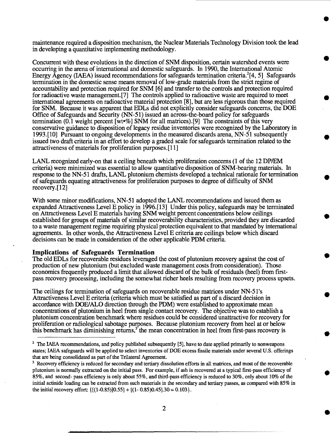maintenance required a disposition mechanism, the Nuclear Materials Technology Division took the lead in developing a quantitative implementing methodology.

Concurrent with these evolutions in the direction of SNM disposition, certain watershed events were occurring in the arena of international and domestic safeguards. In 1990, the International Atomic Energy Agency (IAEA) issued recommendations for safeguards termination criteria.<sup>2</sup>[4, 5] Safeguards termination in the domestic sense means removal of low-grade materials from the strict regime of accountability and protection required for SNM [6] and transfer to the controls and protection required for radioactive waste management. [7] The controls applied to radioactive waste are required to meet international agreements on radioactive material protection [8], but are less rigorous than those required for SNM. Because it was apparent that EDLs did not explicitly consider safeguards concerns, the DOE Office of Safeguards and Security (NN-51) issued an across-the-board policy for safeguards termination (0.1 weight percent [wt»%] SNM for all matrices). [9] The constraints of this very conservative guidance to disposition of legacy residue inventories were recognized by the Laboratory in 1993.[10] Pursuant to ongoing developments in the measured discards arena, NN-51 subsequently issued two draft criteria in an effort to develop a graded scale for safeguards termination related to the attractiveness of materials for proliferation purposes. [11]

LANL recognized early-on that a ceiling beneath which proliferation concerns (1 of the 12 DP/EM criteria) were minimized was essential to allow quantitative disposition of SNM-bearing materials. In response to the NN-51 drafts, LANL plutonium chemists developed a technical rationale for termination of safeguards equating attractiveness for proliferation purposes to degree of difficulty of SNM recovery. [12]

With some minor modifications, NN-51 adopted the LANL recommendations and issued them as expanded Attractiveness Level E policy in 1996.[13] Under this policy, safeguards may be terminated on Attractiveness Level E materials having SNM weight percent concentrations below ceilings established for groups of materials of similar recoverability characteristics, provided they are discarded to a waste management regime requiring physical protection equivalent to that mandated by international agreements. In other words, the Attractiveness Level E criteria are ceilings below which discard decisions can be made in consideration of the other applicable PDM criteria.

## **Implications of Safeguards Termination**

The old EDLs for recoverable residues leveraged the cost of plutonium recovery against the cost of production of new plutonium (but excluded waste management costs from consideration). Those economics frequently produced a limit that allowed discard of the bulk of residuals (heel) from firstpass recovery processing, including the somewhat richer heels resulting from recovery process upsets.

The ceilings for termination of safeguards on recoverable residue matrices under NN-51 's Attractiveness Level E criteria (criteria which must be satisfied as part of a discard decision in accordance with DOE/ALO direction through the PDM) were established to approximate mean concentrations of plutonium in heel from single contact recovery. The objective was to establish a plutonium concentration benchmark where residues could be considered unattractive for recovery for proliferation or radiological sabotage purposes. Because plutonium recovery from heel at or below this benchmark has diminishing returns,<sup>3</sup> the mean concentration in heel from first-pass recovery is

<sup>&</sup>lt;sup>2</sup> The IAEA recommendations, and policy published subsequently [5], have to date applied primarily to nonweapons states; IAEA safeguards will be applied to select inventories of DOE excess fissile materials under several U.S. offerings that are being consolidated as part of the Trilateral Agreement.

<sup>&</sup>lt;sup>3</sup> Recovery efficiency is reduced for secondary and tertiary dissolution efforts in all matrices, and most of the recoverable plutonium is normally extracted on the initial pass. For example, if ash is recovered at a typical first-pass efficiency of 85%, and second- pass efficiency is only about 55%, and third-pass efficiency is reduced to 30%, only about 10% of the initial actinide loading can be extracted from such materials in the secondary and tertiary passes, as compared with 85% in the initial recovery effort:  $\{[(1-0.85)]0.55] + [(1-0.85)0.45] .30 = 0.103\}.$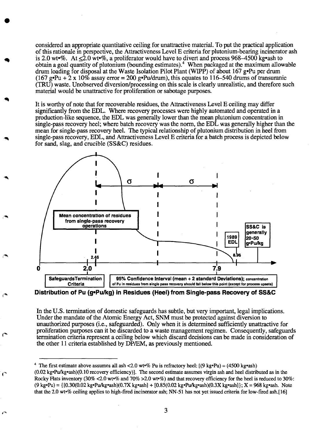considered an appropriate quantitative ceiling for unattractive material. To put the practical application of this rationale in perspective, the Attractiveness Level E criteria for plutonium-bearing incinerator ash is 2.0 wt•%. At  $\leq 2.0$  wt•%, a proliferator would have to divert and process 968–4500 kg•ash to obtain a goal quantity of plutonium (bounding estimates).<sup>4</sup> When packaged at the maximum allowable drum loading for disposal at the Waste Isolation Pilot Plant (WIPP) of about 167 g»Pu per drum (167 g•Pu +  $2 \times 10\%$  assay error = 200 g•Pu/drum), this equates to 116–540 drums of transuranic (TRU) waste. Unobserved diversion/processing on this scale is clearly unrealistic, and therefore such material would be unattractive for proliferation or sabotage purposes.

It is worthy of note that for recoverable residues, the Attractiveness Level E ceiling may differ significantly from the EDL. Where recovery processes were highly automated and operated in a production-like sequence, the EDL was generally lower than the mean plutonium concentration in single-pass recovery heel; where batch recovery was the norm, the EDL was generally higher than the mean for single-pass recovery heel. The typical relationship of plutonium distribution in heel from single-pass recovery, EDL, and Attractiveness Level E criteria for a batch process is depicted below for sand, slag, and crucible (SS&C) residues.



**Distribution of Pu (g»Pu/kg) in Residues (Heel) from Single-pass Recovery of SS&C**

In the U.S. termination of domestic safeguards has subtle, but very important, legal implications. Under the mandate of the Atomic Energy Act, SNM must be protected against diversion to unauthorized purposes (i.e., safeguarded). Only when it is determined sufficiently unattractive for proliferation purposes can it be discarded to a waste management regimen. Consequently, safeguards termination criteria represent a ceiling below which discard decisions can be made in consideration of the other 11 criteria established by DP/EM, as previously mentioned.

ď

<sup>&</sup>lt;sup>4</sup> The first estimate above assumes all ash <2.0 wt•% Pu is refractory heel:  $[(9 \text{ kg} \cdot \text{Pu}) = (4500 \text{ kg} \cdot \text{ash})$  $(0.02 \text{ kg-}$ Pu/kg•ash $)(0.10 \text{ recovery efficiency})$ . The second estimate assumes virgin ash and heel distributed as in the Rocky Hats inventory (30% <2.0 wt»% and 70% >2.0 wt»%) and that recovery efficiency for the heel is reduced to 30%:  $(9 \text{ kg} \cdot \text{Pu}) = \{[0.30(0.02 \text{ kg} \cdot \text{Pu/kg} \cdot \text{ash})(0.7X \text{ kg} \cdot \text{ash}) + [0.85(0.02 \text{ kg} \cdot \text{Pu/kg} \cdot \text{ash})(0.3X \text{ kg} \cdot \text{ash})]\}$ ; X = 968 kg·ash. Note that the 2.0 wt'% ceiling applies to high-fired incinerator ash; NN-51 has not yet issued criteria for low-fired ash. [16]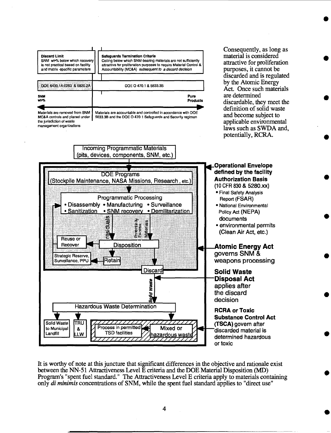

It is worthy of note at this juncture that significant differences in the objective and rationale exist between the NN-51 Attractiveness Level E criteria and the DOE Material Disposition (MD) Program's "spent fuel standard." The Attractiveness Level E criteria apply to materials containing only *di minimis* concentrations of SNM, while the spent fuel standard applies to "direct use"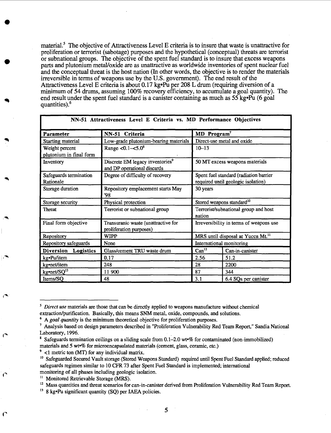material.<sup>5</sup> The objective of Attractiveness Level E criteria is to insure that waste is unattractive for proliferation or terrorist (sabotage) purposes and the hypothetical (conceptual) threats are terrorist or subnational groups. The objective of the spent fuel standard is to insure that excess weapons parts and plutonium metal/oxide are as unattractive as worldwide inventories of spent nuclear fuel and the conceptual threat is the host nation (In other words, the objective is to render the materials irreversible in terms of weapons use by the U.S. government). The end result of the Attractiveness Level E criteria is about 0.17 kg»Pu per 208 L drum (requiring diversion of a minimum of 54 drums, assuming 100% recovery efficiency, to accumulate a goal quantity). The end result under the spent fuel standard is a canister containing as much as  $55 \text{ kg} \cdot \text{Pu}$  (6 goal) quantities).<sup>6</sup>

| ни-эт лигасителез петег в стиена тз. мр теногшанее објесниез |                                                                            |                                                                              |                      |  |  |  |  |  |  |
|--------------------------------------------------------------|----------------------------------------------------------------------------|------------------------------------------------------------------------------|----------------------|--|--|--|--|--|--|
| Parameter                                                    | NN-51 Criteria                                                             | MD Program <sup>7</sup>                                                      |                      |  |  |  |  |  |  |
| Starting material                                            | Low-grade plutonium-bearing materials                                      | Direct-use metal and oxide                                                   |                      |  |  |  |  |  |  |
| Weight percent<br>plutonium in final form                    | Range $< 0.1 - < 5.0$ <sup>8</sup>                                         | $10 - 13$                                                                    |                      |  |  |  |  |  |  |
| Inventory                                                    | Discrete EM legacy inventories <sup>9</sup><br>and DP operational discards | 50 MT excess weapons materials                                               |                      |  |  |  |  |  |  |
| Safeguards termination<br>Rationale                          | Degree of difficulty of recovery                                           | Spent fuel standard (radiation barrier<br>required until geologic isolation) |                      |  |  |  |  |  |  |
| Storage duration                                             | Repository emplacement starts May<br>'98                                   | 30 years                                                                     |                      |  |  |  |  |  |  |
| Storage security                                             | Physical protection                                                        | Stored weapons standard <sup>10</sup>                                        |                      |  |  |  |  |  |  |
| Threat                                                       | Terrorist or subnational group                                             | Terrorist/subnational group and host<br>nation                               |                      |  |  |  |  |  |  |
| Final form objective                                         | Transuranic waste (unattractive for<br>proliferation purposes)             | Irreversibility in terms of weapons use                                      |                      |  |  |  |  |  |  |
| Repository                                                   | <b>WIPP</b>                                                                | MRS until disposal at Yucca Mt. <sup>11</sup>                                |                      |  |  |  |  |  |  |
| Repository safeguards                                        | None                                                                       | International monitoring                                                     |                      |  |  |  |  |  |  |
| Diversion Logistics                                          | Glass/cement TRU waste drum                                                | Can <sup>12</sup>                                                            | Can-in-canister      |  |  |  |  |  |  |
| kg•Pu/item                                                   | 0.17                                                                       | 2.56                                                                         | 51.2                 |  |  |  |  |  |  |
| kg•net/item                                                  | 248                                                                        | 28                                                                           | 2200                 |  |  |  |  |  |  |
| kg•net/SQ <sup>13</sup>                                      | 11 900                                                                     | 87                                                                           | 344                  |  |  |  |  |  |  |
| Items/SQ                                                     | 48                                                                         | 3.1                                                                          | 6.4 SQs per canister |  |  |  |  |  |  |

**NN-51 Attractiveness Level E Criteria vs. MD Performance Objectives**

<sup>&</sup>lt;sup>5</sup> Direct use materials are those that can be directly applied to weapons manufacture without chemical extraction/purification. Basically, this means SNM metal, oxide, compounds, and solutions.

<sup>&</sup>lt;sup>6</sup> A goal quantity is the minimum theoretical objective for proliferation purposes.

<sup>&</sup>lt;sup>7</sup> Analysis based on design parameters described in "Proliferation Vulnerability Red Team Report," Sandia National Laboratory, 1996.

<sup>&</sup>lt;sup>8</sup> Safeguards termination ceilings on a sliding scale from 0.1-2.0 wt<sup>o</sup>% for contaminated (non-immobilized) materials and 5 wt•% for microencapsulated materials (cement, glass, ceramic, etc.)

<sup>&</sup>lt;sup>9</sup> <1 metric ton (MT) for any individual matrix.

<sup>&</sup>lt;sup>10</sup> Safeguarded Secured Vault storage (Stored Weapons Standard) required until Spent Fuel Standard applied; reduced safeguards regimen similar to 10 CFR 73 after Spent Fuel Standard is implemented; international monitoring of all phases including geologic isolation.

<sup>&</sup>lt;sup>11</sup> Monitored Retrievable Storage (MRS).

<sup>&</sup>lt;sup>12</sup> Mass quantities and threat scenarios for can-in-canister derived from Proliferation Vulnerability Red Team Report.

 $13$  8 kg $\cdot$ Pu significant quantity (SQ) per IAEA policies.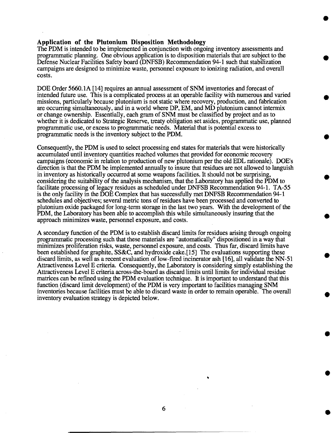# **Application of the Plutonium Disposition Methodology**

The PDM is intended to be implemented in conjunction with ongoing inventory assessments and programmatic planning. One obvious application is to disposition materials that are subject to the Defense Nuclear Facilities Safety board (DNFSB) Recommendation 94-1 such that stabilization campaigns are designed to minimize waste, personnel exposure to ionizing radiation, and overall costs.

DOE Order 5660.1 A [14] requires an annual assessment of SNM inventories and forecast of intended future use. This is a complicated process at an operable facility with numerous and varied missions, particularly because plutonium is not static where recovery, production, and fabrication are occurring simultaneously, and in a world where DP, EM, and MD plutonium cannot intermix or change ownership. Essentially, each gram of SNM must be classified by project and as to whether it is dedicated to Strategic Reserve, treaty obligation set asides, programmatic use, planned programmatic use, or excess to programmatic needs. Material that is potential excess to programmatic needs is the inventory subject to the PDM.

Consequently, the PDM is used to select processing end states for materials that were historically accumulated until inventory quantities reached volumes that provided for economic recovery campaigns (economic in relation to production of new plutonium per the old EDL rationale). DOE's direction is that the PDM be implemented annually to insure that residues are not allowed to languish in inventory as historically occurred at some weapons facilities. It should not be surprising, considering the suitability of the analysis mechanism, that the Laboratory has applied the PDM to facilitate processing of legacy residues as scheduled under DNFSB Recommendation 94-1. TA-55 is the only facility in the DOE Complex that has successfully met DNFSB Recommendation 94-1 schedules and objectives; several metric tons of residues have been processed and converted to plutonium oxide packaged for long-term storage in the last two years. With the development of the PDM, the Laboratory has been able to accomplish this while simultaneously insuring that the approach minimizes waste, personnel exposure, and costs.

A secondary function of the PDM is to establish discard limits for residues arising through ongoing programmatic processing such that these materials are "automatically" dispositioned in a way that minimizes proliferation risks, waste, personnel exposure, and costs. Thus far, discard limits have been established for graphite, SS&C, and hydroxide cake. [15] The evaluations supporting these discard limits, as well as a recent evaluation of low-fired incinerator ash [16], all validate the NN-51 Attractiveness Level E criteria. Consequently, the Laboratory is considering simply establishing the Attractiveness Level E criteria across-the-board as discard limits until limits for individual residue matrices can be refined using the PDM evaluation technique. It is important to understand that this function (discard limit development) of the PDM is very important to facilities managing SNM inventories because facilities must be able to discard waste in order to remain operable. The overall inventory evaluation strategy is depicted below.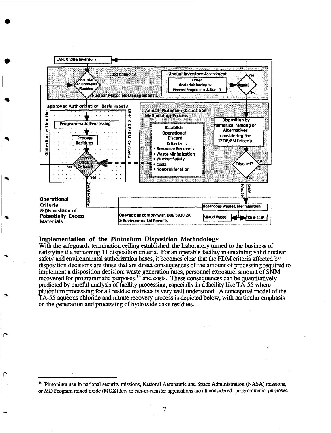

#### **Implementation of the Plutonium Disposition Methodology**

With the safeguards termination ceiling established, the Laboratory turned to the business of satisfying the remaining 11 disposition criteria. For an operable facility maintaining valid nuclear safety and environmental authorization bases, it becomes clear that the PDM criteria affected by disposition decisions are those that are direct consequences of the amount of processing required to implement a disposition decision: waste generation rates, personnel exposure, amount of SNM recovered for programmatic purposes, $14$  and costs. These consequences can be quantitatively predicted by careful analysis of facility processing, especially in a facility like TA-55 where plutonium processing for all residue matrices is very well understood. A conceptual model of the TA-55 aqueous chloride and nitrate recovery process is depicted below, with particular emphasis on the generation and processing of hydroxide cake residues.

<sup>&</sup>lt;sup>14</sup> Plutonium use in national security missions, National Aeronautic and Space Administration (NASA) missions, or MD Program mixed oxide (MOX) fuel or can-in-canister applications are all considered "programmatic purposes."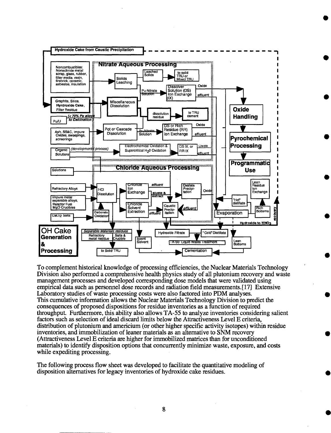

To complement historical knowledge of processing efficiencies, the Nuclear Materials Technology Division also performed a comprehensive health physics study of all plutonium recovery and waste management processes and developed corresponding dose models that were validated using empirical data such as personnel dose records and radiation field measurements. [17] Extensive Laboratory studies of waste processing costs were also factored into PDM analyses. This cumulative information allows the Nuclear Materials Technology Division to predict the consequences of proposed dispositions for residue inventories as a function of required throughput. Furthermore, this ability also allows TA-55 to analyze inventories considering salient factors such as selection of ideal discard limits below the Attractiveness Level E criteria, distribution of plutonium and americium (or other higher specific activity isotopes) within residue inventories, and immobilization of leaner materials as an alternative to SNM recovery (Attractiveness Level E criteria are higher for immobilized matrices than for unconditioned materials) to identify disposition options that concurrently minimize waste, exposure, and costs while expediting processing.

The following process flow sheet was developed to facilitate the quantitative modeling of disposition alternatives for legacy inventories of hydroxide cake residues.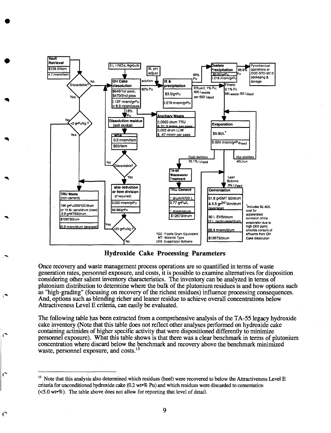

**Hydroxide Cake Processing Parameters**

Once recovery and waste management process operations are so quantified in terms of waste generation rates, personnel exposure, and costs, it is possible to examine alternatives for disposition considering other salient inventory characteristics. The inventory can be analyzed in terms of plutonium distribution to determine where the bulk of the plutonium residues is and how options such as "high-grading" (focusing on recovery of the richest residues) influence processing consequences. And, options such as blending richer and leaner residue to achieve overall concentrations below Attractiveness Level E criteria, can easily be evaluated.

The following table has been extracted from a comprehensive analysis of the TA-55 legacy hydroxide cake inventory (Note that this table does not reflect other analyses performed on hydroxide cake containing actinides of higher specific activity that were dispositioned differently to minimize personnel exposure). What this table shows is that there was a clear benchmark in terms of plutonium concentration where discard below the benchmark and recovery above the benchmark minimized waste, personnel exposure, and costs.<sup>15</sup>

€

<sup>&</sup>lt;sup>15</sup> Note that this analysis also determined which residues (heel) were recovered to below the Attractiveness Level E criteria for unconditioned hydroxide cake (0.2 wt»% Pu) and which residues were discarded to cementation (<5.0 wt»%). The table above does not allow for reporting that level of detail.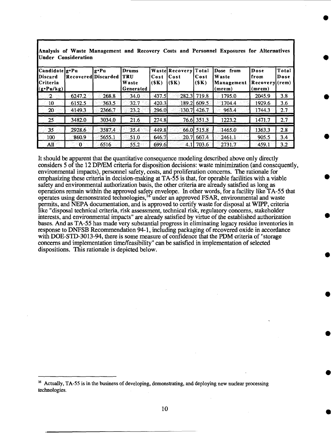| Candidate g.Pu<br>Discard<br><b>ICriteria</b><br>$(g\cdot Pu/kg)$ | Recovered Discarded | g•Pu   | Drums<br>TRU<br>Waste<br>Generated | Cost<br>(\$K) | Waste Recovery Total<br>Cost<br>(SK) | Cost<br>(SK)  | Dose from<br>Waste<br>Management<br>(mrem) | Dose<br>from<br>Recovery<br>(mrem) | Total<br>Dose<br>$(\mathbf{rem})$ |
|-------------------------------------------------------------------|---------------------|--------|------------------------------------|---------------|--------------------------------------|---------------|--------------------------------------------|------------------------------------|-----------------------------------|
| - 2                                                               | 6247.2              | 268.8  | 34.0                               | 437.5         |                                      | $282.3$ 719.8 | 1795.0                                     | 2045.9                             | $-3.8$                            |
| $-10$                                                             | 6152.5              | 363.5  | 32.7                               | 420.3         | 189.21                               | 609.5         | 1704.4                                     | 1929.6                             | 3.6                               |
| 20                                                                | 4149.3              | 2366.7 | 23.2                               | 296.0         |                                      | 130.7 426.7   | 963.4                                      | $-1744.3$                          | 2.7                               |
| 25                                                                | 3482.0              | 3034.0 | 21.6                               | 274.8         |                                      | 76.6 351.3    | 1223.2                                     | 1471.7                             | 2.7                               |
| 35                                                                | 2928.6              | 3587.4 | 35.4                               | 449.8         |                                      | 66.0 515.8    | 1465.0                                     | 1363.3                             | 2.8                               |
| 100                                                               | 860.9               | 5655.1 | 51.0                               | 646.7         |                                      | $20.7$ 667.4  | 2461.1                                     | 905.5                              | 3.4                               |
| All                                                               | $^{\circ}0$ .       | 6516   | $55.2^{\circ}$                     | .699.6        | 4.1I                                 | 703.6         | 2731.7                                     | $-459.1$                           | 3.2                               |

**Analysis of Waste Management and Recovery Costs and Personnel Exposures for Alternatives Under Consideration**

It should be apparent that the quantitative consequence modeling described above only directly considers 5 of the 12 DP/EM criteria for disposition decisions: waste minimization (and consequently, environmental impacts), personnel safety, costs, and proliferation concerns. The rationale for emphasizing these criteria in decision-making at TA-55 is that, for operable facilities with a viable safety and environmental authorization basis, the other criteria are already satisfied as long as operations remain within the approved safety envelope. In other words, for a facility like TA-55 that operates using demonstrated technologies,  $16$  under an approved FSAR, environmental and waste permits, and NEPA documentation, and is approved to certify waste for disposal at WIPP, criteria like "disposal technical criteria, risk assessment, technical risk, regulatory concerns, stakeholder interests, and environmental impacts" are already satisfied by virtue of the established authorization bases. And as TA-55 has made very substantial progress in eliminating legacy residue inventories in response to DNFSB Recommendation 94-1, including packaging of recovered oxide in accordance with DOE-STD-3013-94, there is some measure of confidence that the PDM criteria of "storage concerns and implementation time/feasibility" can be satisfied in implementation of selected dispositions. This rationale is depicted below.

<sup>&</sup>lt;sup>16</sup> Actually, TA-55 is in the business of developing, demonstrating, and deploying new nuclear processing technologies.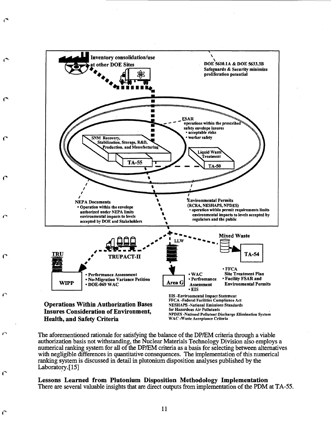

**Health, and Safety Criteria**

**c**

 $\Gamma$ 

**NPDES -National Pollutant Discharge Elimination System WAC -Waste Acceptance Criteria**

The aforementioned rationale for satisfying the balance of the DP/EM criteria through a viable authorization basis not withstanding, the Nuclear Materials Technology Division also employs a numerical ranking system for all *of the* DP/EM criteria as a basis for selecting between alternatives with negligible differences in quantitative consequences. The implementation of this numerical ranking system is discussed in detail in plutonium disposition analyses published by the Laboratory.[15]

**Lessons Learned from Plutonium Disposition Methodology Implementation** There are several valuable insights that are direct outputs from implementation of the PDM at TA-55.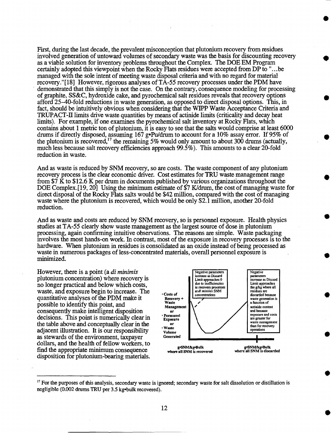First, during the last decade, the prevalent misconception that plutonium recovery from residues involved generation of untoward volumes of secondary waste was the basis for discounting recovery as a viable solution for inventory problems throughout the Complex. The DOE EM Program certainly adopted this viewpoint when the Rocky Flats residues were accepted from DP to ".. .be managed with the sole intent of meeting waste disposal criteria and with no regard for material recovery."[18] However, rigorous analyses of TA-55 recovery processes under the PDM have demonstrated that this simply is not the case. On the contrary, consequence modeling for processing of graphite, SS&C, hydroxide cake, and pyrochemical salt residues reveals that recovery options afford 25-40-fold reductions in waste generation, as opposed to direct disposal options. This, in fact, should be intuitively obvious when considering that the WIPP Waste Acceptance Criteria and TRUPACT-II limits drive waste quantities by means of actinide limits (criticality and decay heat limits). For example, if one examines the pyrochemical salt inventory at Rocky Flats, which contains about 1 metric ton of plutonium, it is easy to see that the salts would comprise at least 6000 drums if directly disposed, assuming 167 g»Pu/drum to account for a 10% assay error. If 95% of the plutonium is recovered,<sup>17</sup> the remaining  $5\%$  would only amount to about 300 drums (actually, much less because salt recovery efficiencies approach 99.5%). This amounts to a clear 20-fold reduction in waste.

And as waste is reduced by SNM recovery, so are costs. The waste component of any plutonium recovery process is the clear economic driver. Cost estimates for TRU waste management range from \$7 K to \$12.6 K per drum in documents published by various organizations throughout the DOE Complex. [19, 20] Using the minimum estimate of \$7 K/drum, the cost of managing waste for direct disposal of the Rocky Flats salts would be \$42 million, compared with the cost of managing waste where the plutonium is recovered, which would be only \$2.1 million, another 20-fold reduction.

And as waste and costs are reduced by SNM recovery, so is personnel exposure. Health physics studies at TA-55 clearly show waste management as the largest source of dose in plutonium processing, again confirming intuitive observations. The reasons are simple. Waste packaging involves the most hands-on work. In contrast, most of the exposure in recovery processes is to the hardware. When plutonium in residues is consolidated as an oxide instead of being processed as waste in numerous packages of less-concentrated materials, overall personnel exposure is minimized.

However, there is a point (a *di minimis* plutonium concentration) where recovery is no longer practical and below which costs, waste, and exposure begin to increase. The quantitative analyses of the PDM make it possible to identify this point, and consequently make intelligent disposition decisions. This point is numerically clear in the table above and conceptually clear in the adjacent illustration. It is our responsibility as stewards of the environment, taxpayer dollars, and the health of fellow workers, to find the appropriate minimum consequence disposition for plutonium-bearing materials.



<sup>&</sup>lt;sup>17</sup> For the purposes of this analysis, secondary waste is ignored; secondary waste for salt dissolution or distillation is negligible (0.002 drums TRU per 3.5 kg-bulk recovered).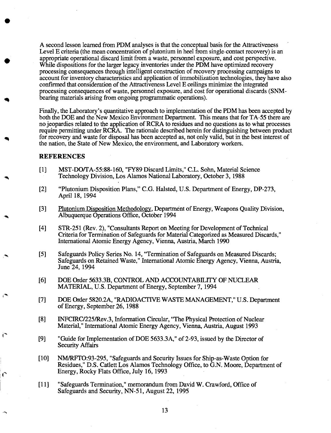A second lesson learned from PDM analyses is that the conceptual basis for the Attractiveness Level E criteria (the mean concentration of plutonium in heel from single-contact recovery) is an appropriate operational discard limit from a waste, personnel exposure, and cost perspective. While dispositions for the larger legacy inventories under the PDM have optimized recovery processing consequences through intelligent construction of recovery processing campaigns to account for inventory characteristics and application of immobilization technologies, they have also confirmed that consideration of the Attractiveness Level E ceilings minimize the integrated processing consequences of waste, personnel exposure, and cost for operational discards (SNMbearing materials arising from ongoing programmatic operations).

Finally, the Laboratory's quantitative approach to implementation of the PDM has been accepted by both the DOE and the New Mexico Environment Department. This means that for TA-55 there are no jeopardies related to the application of RCRA to residues and no questions as to what processes require permitting under RCRA. The rationale described herein for distinguishing between product for recovery and waste for disposal has been accepted as, not only valid, but in the best interest of the nation, the State of New Mexico, the environment, and Laboratory workers.

# REFERENCES

- [I] MST-DO/TA-55:88-160, "FY89 Discard Limits," C.L. Sohn, Material Science Technology Division, Los Alamos National Laboratory, October 3,1988
- [2] "Plutonium Disposition Plans," C.G. Halsted, U.S. Department of Energy, DP-273, April 18,1994
- [3] Plutonium Disposition Methodology. Department of Energy, Weapons Quality Division, Albuquerque Operations Office, October 1994
- [4] STR-251 (Rev. 2), "Consultants Report on Meeting for Development of Technical Criteria for Termination of Safeguards for Material Categorized as Measured Discards," International Atomic Energy Agency, Vienna, Austria, March 1990
- [5] Safeguards Policy Series No. 14, "Termination of Safeguards on Measured Discards; Safeguards on Retained Waste," International Atomic Energy Agency, Vienna, Austria, June 24, 1994
- [6] DOE Order 5633.3B, CONTROL AND ACCOUNTABILITY OF NUCLEAR MATERIAL, U.S. Department of Energy, September 7,1994
- [7] DOE Order 5820.2A, "RADIOACTIVE WASTE MANAGEMENT," U.S. Department of Energy, September 26,1988
- [8] INFCIRC/225/Rev.3, Information Circular, "The Physical Protection of Nuclear Material," International Atomic Energy Agency, Vienna, Austria, August 1993
- [9] "Guide for Implementation of DOE 5633.3A," of 2-93, issued by the Director of Security Affairs
- [10] NM/RFTO:93-295, "Safeguards and Security Issues for Ship-as-Waste Option for Residues," D.S. Catlett Los Alamos Technology Office, to G.N. Moore, Department of Energy, Rocky Flats Office, July 16,1993
- [II] "Safeguards Termination," memorandum from David W. Crawford, Office of Safeguards and Security, NN-51, August 22, 1995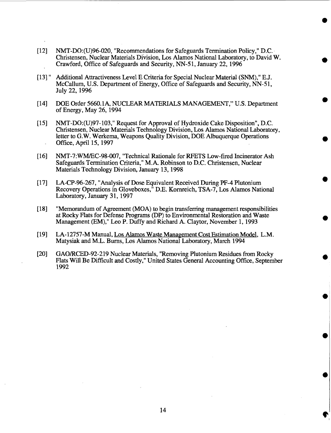- [12] NMT-DO:(U)96-020, "Recommendations for Safeguards Termination Policy," D.C. Christensen, Nuclear Materials Division, Los Alamos National Laboratory, to David W. Crawford, Office of Safeguards and Security, NN-51, January 22,1996
- [13]" Additional Attractiveness Level E Criteria for Special Nuclear Material (SNM)," E.J. McCallum, U.S. Department of Energy, Office of Safeguards and Security, NN-51, July 22,1996
- [14] DOE Order 5660.1 A, NUCLEAR MATERIALS MANAGEMENT," U.S. Department of Energy, May 26, 1994
- [15] NMT-DO:(U)97-103," Request for Approval of Hydroxide Cake Disposition", D.C. Christensen, Nuclear Materials Technology Division, Los Alamos National Laboratory, letter to G.W. Werkema, Weapons Quality Division, DOE Albuquerque Operations Office, April 15, 1997
- [ 16] NMT-7:WM/EC-98-007, "Technical Rationale for RFETS Low-fired Incinerator Ash Safeguards Termination Criteria," M.A. Robinson to D.C. Christensen, Nuclear Materials Technology Division, January 13,1998
- [ 17] LA-CP-96-267, "Analysis of Dose Equivalent Received During PF-4 Plutonium Recovery Operations in Gloveboxes," D.E. Kornreich, TSA-7, Los Alamos National Laboratory, January 31, 1997
- [18] "Memorandum of Agreement (MOA) to begin transferring management responsibilities at Rocky Flats for Defense Programs (DP) to Environmental Restoration and Waste Management (EM)," Leo P. Duffy and Richard A. Claytor, November 1,1993
- [19] LA-12757-M Manual, Los Alamos Waste Management Cost Estimation Model. L.M. Matysiak and M.L. Burns, Los Alamos National Laboratory, March 1994
- [20] GAO/RCED-92-219 Nuclear Materials, "Removing Plutonium Residues from Rocky Hats Will Be Difficult and Costly," United States General Accounting Office, September 1992